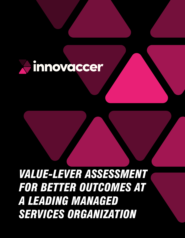

# *VALUE-LEVER ASSESSMENT FOR BETTER OUTCOMES AT A LEADING MANAGED SERVICES ORGANIZATION*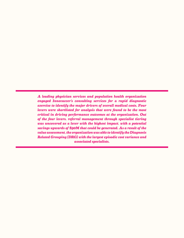*A leading physician services and population health organization engaged Innovaccer's consulting services for a rapid diagnostic exercise to identify the major drivers of overall medical costs. Four levers were shortlisted for analysis that were found to be the most critical in driving performance outcomes at the organization. Out of the four levers, referral management through specialist tiering was uncovered as a lever with the highest impact, with a potential savings upwards of \$90M that could be generated. As a result of the value assessment, the organization was able to identify the Diagnosis Related Grouping (DRG) with the largest episodic cost variance and associated specialists.*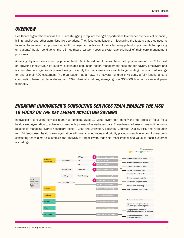### *OVERVIEW*

Healthcare organizations across the US are struggling to tap into the right opportunities to enhance their clinical, financial, billing, quality and other administrative operations. They face complications in identifying the factors that they need to focus on to improve their population health management activities. From scheduling patient appointments to reporting on patients' health conditions, the US healthcare system needs a systematic overhaul of their care management processes.

A leading physician services and population health MSO based out of the southern metropolitan area of the US focused on providing innovative, high quality, sustainable population health management solutions for payers, employers and accountable care organizations, was looking to identify the major levers responsible for generating the most cost savings for one of their ACO customers. The organization has a network of several hundred physicians, a fully functional care coordination team, two laboratories, and 50+ physical locations, managing over 300,000 lives across several payer contracts.

# *ENGAGING INNOVACCER'S CONSULTING SERVICES TEAM ENABLED THE MSO TO FOCUS ON THE KEY LEVERS IMPACTING SAVINGS*

Innovaccer's consulting services team has conceptualized 12 value levers that identify the top areas of focus for a healthcare organization to achieve success in its journey of value-based care. These levers address six main dimensions relating to managing overall healthcare costs - Cost and Utilization, Network, Contract, Quality, Risk and Attribution mix. Evidently, each health care organization will have a varied focus and priority placed on each lever and Innovaccer's consulting team aims to customize the analysis to target levers that hold most impact and value to each customer accordingly.

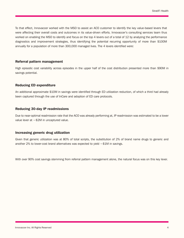To that effect, Innovaccer worked with the MSO to assist an ACO customer to identify the key value-based levers that were affecting their overall costs and outcomes in its value-driven efforts. Innovaccer's consulting services team thus worked on enabling the MSO to identify and focus on the top 4 levers out of a total of 12 by analyzing the performance diagnostics and improvement strategies, thus identifying the potential recurring opportunity of more than \$100M annually for a population of more than 300,000 managed lives. The 4 levers identified were:

#### Referral pattern management

High episodic cost variability across episodes in the upper half of the cost distribution presented more than \$90M in savings potential.

#### Reducing ED expenditure

An additional approximate \$10M in savings were identified through ED utilization reduction, of which a third had already been captured through the use of InCare and adoption of ED care protocols.

#### Reducing 30-day IP readmissions

Due to near-optimal readmission rate that the ACO was already performing at, IP readmission was estimated to be a lower value lever at  $\sim$  \$2M in uncaptured value.

#### Increasing generic drug utilization

Given that generic utilization was at 80% of total scripts, the substitution of 2% of brand name drugs to generic and another 2% to lower-cost brand alternatives was expected to yield  $\sim$ \$1M in savings.

With over 90% cost savings stemming from referral pattern management alone, the natural focus was on this key lever.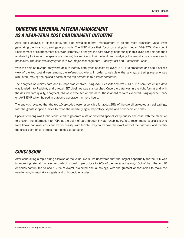# *TARGETING REFERRAL PATTERN MANAGEMENT AS A NEAR-TERM COST CONTAINMENT INITIATIVE*

After deep analysis of claims data, the data revealed referral management to be the most significant value lever generating the most cost savings opportunity. The MSO drove their focus on a singular metric, DRG-470, Major Joint Replacement or Reattachment of Lower Extremity, to analyze the cost savings opportunity in this lever. They started their analysis by looking at the specialists offering this service in their network and analyzing the overall costs of every such procedure. The cost was segregated into two major cost segments - Facility Cost and Professional Cost.

With the help of InGraph, they were able to identify both types of costs for every DRG-470 procedure and had a holistic view of the top cost drivers among the referred providers. In order to calculate the savings, a tiering scenario was simulated, moving the episodic costs of the top percentile to a lower percentile.

The analytics on claims data and InGraph was enabled using AWS Redshift and AWS EMR. The semi-structured data was loaded into Redshift, and through ELT pipelines was standardized Once the data was in the right format and with the desired data quality, analytical jobs were executed on the data. These analytics were executed using Apache Spark on AWS EMR which helped in outcome generation in mere hours.

The analysis revealed that the top 10 episodes were responsible for about 25% of the overall projected annual savings, with the greatest opportunities to move the needle lying in respiratory, sepsis and orthopedic episodes.

Specialist tiering was further conducted to generate a list of preferred specialists by quality and cost, with the objective to present the information to PCPs at the point of care through InNote, enabling PCPs to recommend specialists who were known for lower costs and better quality. With InNote, they could have the exact view of their network and identify the exact point of care steps that needed to be taken.

## *CONCLUSION*

After conducting a rapid sizing exercise of the value levers, we uncovered that the largest opportunity for the ACO was in improving referral management, which should impact close to 90% of the projected savings. Out of that, the top 10 episodes contributed to about 25% of overall projected annual savings, with the greatest opportunities to move the needle lying in respiratory, sepsis and orthopedic episodes.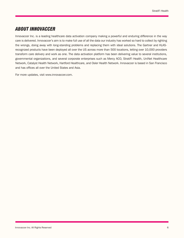# *ABOUT INNOVACCER*

Innovaccer Inc. is a leading healthcare data activation company making a powerful and enduring difference in the way care is delivered. Innovaccer's aim is to make full use of all the data our industry has worked so hard to collect by righting the wrongs, doing away with long-standing problems and replacing them with ideal solutions. The Gartner and KLASrecognized products have been deployed all over the US across more than 500 locations, letting over 10,000 providers transform care delivery and work as one. The data activation platform has been delivering value to several institutions, governmental organizations, and several corporate enterprises such as Mercy ACO, StratiFi Health, UniNet Healthcare Network, Catalyst Health Network, Hartford Healthcare, and Osler Health Network. Innovaccer is based in San Francisco and has offices all over the United States and Asia.

For more updates, visit www.innovaccer.com.